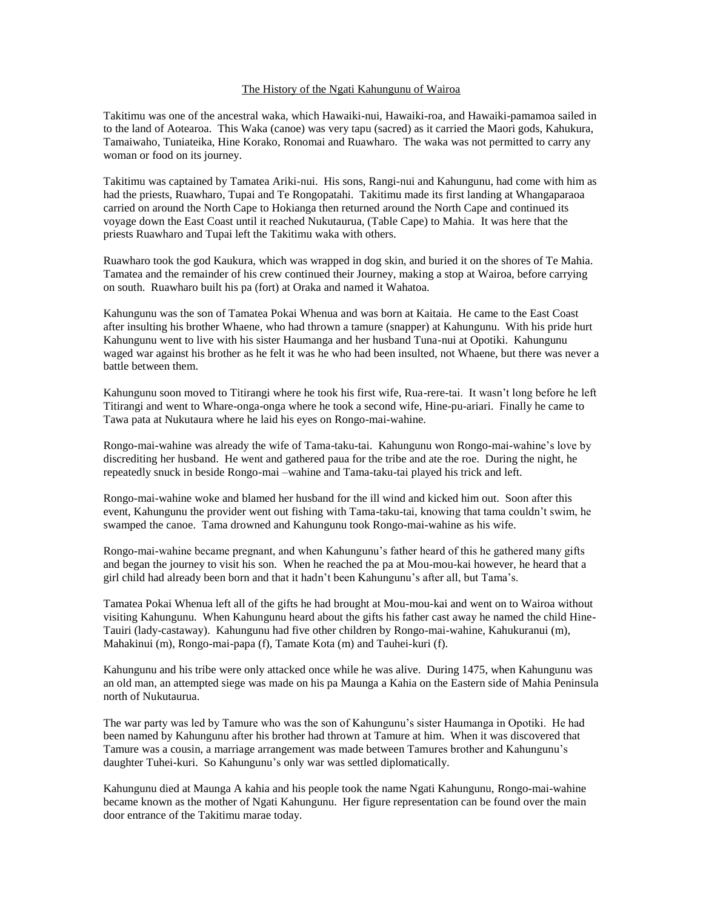## The History of the Ngati Kahungunu of Wairoa

Takitimu was one of the ancestral waka, which Hawaiki-nui, Hawaiki-roa, and Hawaiki-pamamoa sailed in to the land of Aotearoa. This Waka (canoe) was very tapu (sacred) as it carried the Maori gods, Kahukura, Tamaiwaho, Tuniateika, Hine Korako, Ronomai and Ruawharo. The waka was not permitted to carry any woman or food on its journey.

Takitimu was captained by Tamatea Ariki-nui. His sons, Rangi-nui and Kahungunu, had come with him as had the priests, Ruawharo, Tupai and Te Rongopatahi. Takitimu made its first landing at Whangaparaoa carried on around the North Cape to Hokianga then returned around the North Cape and continued its voyage down the East Coast until it reached Nukutaurua, (Table Cape) to Mahia. It was here that the priests Ruawharo and Tupai left the Takitimu waka with others.

Ruawharo took the god Kaukura, which was wrapped in dog skin, and buried it on the shores of Te Mahia. Tamatea and the remainder of his crew continued their Journey, making a stop at Wairoa, before carrying on south. Ruawharo built his pa (fort) at Oraka and named it Wahatoa.

Kahungunu was the son of Tamatea Pokai Whenua and was born at Kaitaia. He came to the East Coast after insulting his brother Whaene, who had thrown a tamure (snapper) at Kahungunu. With his pride hurt Kahungunu went to live with his sister Haumanga and her husband Tuna-nui at Opotiki. Kahungunu waged war against his brother as he felt it was he who had been insulted, not Whaene, but there was never a battle between them.

Kahungunu soon moved to Titirangi where he took his first wife, Rua-rere-tai. It wasn't long before he left Titirangi and went to Whare-onga-onga where he took a second wife, Hine-pu-ariari. Finally he came to Tawa pata at Nukutaura where he laid his eyes on Rongo-mai-wahine.

Rongo-mai-wahine was already the wife of Tama-taku-tai. Kahungunu won Rongo-mai-wahine's love by discrediting her husband. He went and gathered paua for the tribe and ate the roe. During the night, he repeatedly snuck in beside Rongo-mai –wahine and Tama-taku-tai played his trick and left.

Rongo-mai-wahine woke and blamed her husband for the ill wind and kicked him out. Soon after this event, Kahungunu the provider went out fishing with Tama-taku-tai, knowing that tama couldn't swim, he swamped the canoe. Tama drowned and Kahungunu took Rongo-mai-wahine as his wife.

Rongo-mai-wahine became pregnant, and when Kahungunu's father heard of this he gathered many gifts and began the journey to visit his son. When he reached the pa at Mou-mou-kai however, he heard that a girl child had already been born and that it hadn't been Kahungunu's after all, but Tama's.

Tamatea Pokai Whenua left all of the gifts he had brought at Mou-mou-kai and went on to Wairoa without visiting Kahungunu. When Kahungunu heard about the gifts his father cast away he named the child Hine-Tauiri (lady-castaway). Kahungunu had five other children by Rongo-mai-wahine, Kahukuranui (m), Mahakinui (m), Rongo-mai-papa (f), Tamate Kota (m) and Tauhei-kuri (f).

Kahungunu and his tribe were only attacked once while he was alive. During 1475, when Kahungunu was an old man, an attempted siege was made on his pa Maunga a Kahia on the Eastern side of Mahia Peninsula north of Nukutaurua.

The war party was led by Tamure who was the son of Kahungunu's sister Haumanga in Opotiki. He had been named by Kahungunu after his brother had thrown at Tamure at him. When it was discovered that Tamure was a cousin, a marriage arrangement was made between Tamures brother and Kahungunu's daughter Tuhei-kuri. So Kahungunu's only war was settled diplomatically.

Kahungunu died at Maunga A kahia and his people took the name Ngati Kahungunu, Rongo-mai-wahine became known as the mother of Ngati Kahungunu. Her figure representation can be found over the main door entrance of the Takitimu marae today.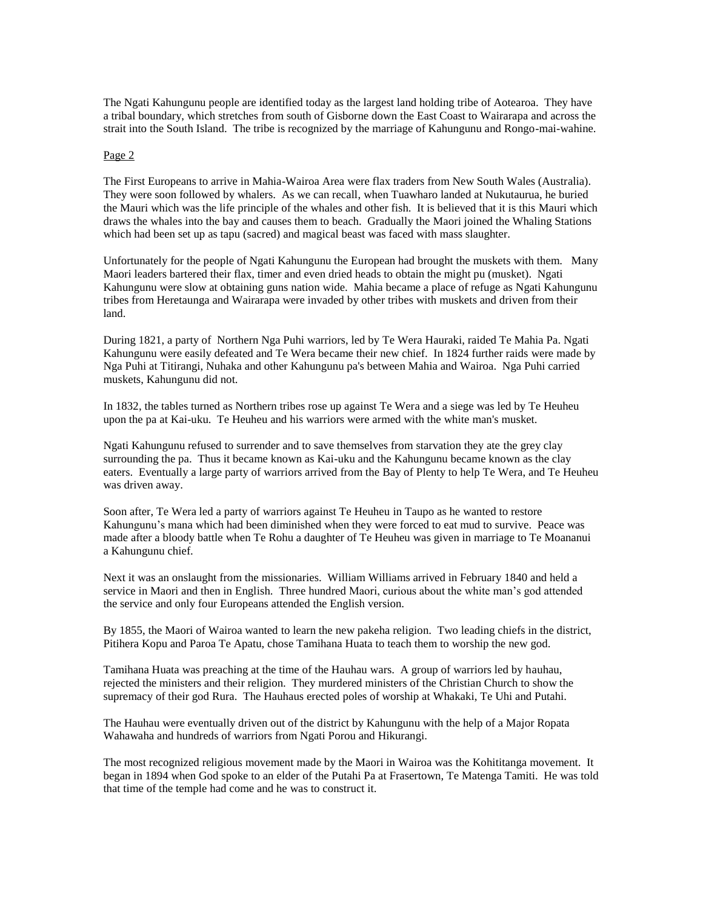The Ngati Kahungunu people are identified today as the largest land holding tribe of Aotearoa. They have a tribal boundary, which stretches from south of Gisborne down the East Coast to Wairarapa and across the strait into the South Island. The tribe is recognized by the marriage of Kahungunu and Rongo-mai-wahine.

## Page 2

The First Europeans to arrive in Mahia-Wairoa Area were flax traders from New South Wales (Australia). They were soon followed by whalers. As we can recall, when Tuawharo landed at Nukutaurua, he buried the Mauri which was the life principle of the whales and other fish. It is believed that it is this Mauri which draws the whales into the bay and causes them to beach. Gradually the Maori joined the Whaling Stations which had been set up as tapu (sacred) and magical beast was faced with mass slaughter.

Unfortunately for the people of Ngati Kahungunu the European had brought the muskets with them. Many Maori leaders bartered their flax, timer and even dried heads to obtain the might pu (musket). Ngati Kahungunu were slow at obtaining guns nation wide. Mahia became a place of refuge as Ngati Kahungunu tribes from Heretaunga and Wairarapa were invaded by other tribes with muskets and driven from their land.

During 1821, a party of Northern Nga Puhi warriors, led by Te Wera Hauraki, raided Te Mahia Pa. Ngati Kahungunu were easily defeated and Te Wera became their new chief. In 1824 further raids were made by Nga Puhi at Titirangi, Nuhaka and other Kahungunu pa's between Mahia and Wairoa. Nga Puhi carried muskets, Kahungunu did not.

In 1832, the tables turned as Northern tribes rose up against Te Wera and a siege was led by Te Heuheu upon the pa at Kai-uku. Te Heuheu and his warriors were armed with the white man's musket.

Ngati Kahungunu refused to surrender and to save themselves from starvation they ate the grey clay surrounding the pa. Thus it became known as Kai-uku and the Kahungunu became known as the clay eaters. Eventually a large party of warriors arrived from the Bay of Plenty to help Te Wera, and Te Heuheu was driven away.

Soon after, Te Wera led a party of warriors against Te Heuheu in Taupo as he wanted to restore Kahungunu's mana which had been diminished when they were forced to eat mud to survive. Peace was made after a bloody battle when Te Rohu a daughter of Te Heuheu was given in marriage to Te Moananui a Kahungunu chief.

Next it was an onslaught from the missionaries. William Williams arrived in February 1840 and held a service in Maori and then in English. Three hundred Maori, curious about the white man's god attended the service and only four Europeans attended the English version.

By 1855, the Maori of Wairoa wanted to learn the new pakeha religion. Two leading chiefs in the district, Pitihera Kopu and Paroa Te Apatu, chose Tamihana Huata to teach them to worship the new god.

Tamihana Huata was preaching at the time of the Hauhau wars. A group of warriors led by hauhau, rejected the ministers and their religion. They murdered ministers of the Christian Church to show the supremacy of their god Rura. The Hauhaus erected poles of worship at Whakaki, Te Uhi and Putahi.

The Hauhau were eventually driven out of the district by Kahungunu with the help of a Major Ropata Wahawaha and hundreds of warriors from Ngati Porou and Hikurangi.

The most recognized religious movement made by the Maori in Wairoa was the Kohititanga movement. It began in 1894 when God spoke to an elder of the Putahi Pa at Frasertown, Te Matenga Tamiti. He was told that time of the temple had come and he was to construct it.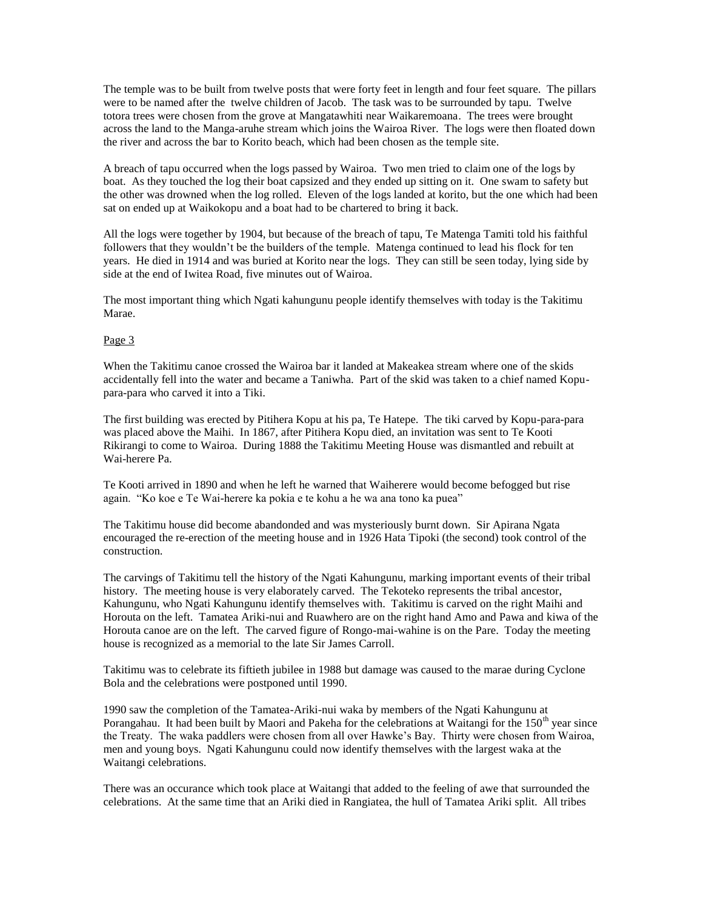The temple was to be built from twelve posts that were forty feet in length and four feet square. The pillars were to be named after the twelve children of Jacob. The task was to be surrounded by tapu. Twelve totora trees were chosen from the grove at Mangatawhiti near Waikaremoana. The trees were brought across the land to the Manga-aruhe stream which joins the Wairoa River. The logs were then floated down the river and across the bar to Korito beach, which had been chosen as the temple site.

A breach of tapu occurred when the logs passed by Wairoa. Two men tried to claim one of the logs by boat. As they touched the log their boat capsized and they ended up sitting on it. One swam to safety but the other was drowned when the log rolled. Eleven of the logs landed at korito, but the one which had been sat on ended up at Waikokopu and a boat had to be chartered to bring it back.

All the logs were together by 1904, but because of the breach of tapu, Te Matenga Tamiti told his faithful followers that they wouldn't be the builders of the temple. Matenga continued to lead his flock for ten years. He died in 1914 and was buried at Korito near the logs. They can still be seen today, lying side by side at the end of Iwitea Road, five minutes out of Wairoa.

The most important thing which Ngati kahungunu people identify themselves with today is the Takitimu Marae.

## Page 3

When the Takitimu canoe crossed the Wairoa bar it landed at Makeakea stream where one of the skids accidentally fell into the water and became a Taniwha. Part of the skid was taken to a chief named Kopupara-para who carved it into a Tiki.

The first building was erected by Pitihera Kopu at his pa, Te Hatepe. The tiki carved by Kopu-para-para was placed above the Maihi. In 1867, after Pitihera Kopu died, an invitation was sent to Te Kooti Rikirangi to come to Wairoa. During 1888 the Takitimu Meeting House was dismantled and rebuilt at Wai-herere Pa.

Te Kooti arrived in 1890 and when he left he warned that Waiherere would become befogged but rise again. "Ko koe e Te Wai-herere ka pokia e te kohu a he wa ana tono ka puea"

The Takitimu house did become abandonded and was mysteriously burnt down. Sir Apirana Ngata encouraged the re-erection of the meeting house and in 1926 Hata Tipoki (the second) took control of the construction.

The carvings of Takitimu tell the history of the Ngati Kahungunu, marking important events of their tribal history. The meeting house is very elaborately carved. The Tekoteko represents the tribal ancestor, Kahungunu, who Ngati Kahungunu identify themselves with. Takitimu is carved on the right Maihi and Horouta on the left. Tamatea Ariki-nui and Ruawhero are on the right hand Amo and Pawa and kiwa of the Horouta canoe are on the left. The carved figure of Rongo-mai-wahine is on the Pare. Today the meeting house is recognized as a memorial to the late Sir James Carroll.

Takitimu was to celebrate its fiftieth jubilee in 1988 but damage was caused to the marae during Cyclone Bola and the celebrations were postponed until 1990.

1990 saw the completion of the Tamatea-Ariki-nui waka by members of the Ngati Kahungunu at Porangahau. It had been built by Maori and Pakeha for the celebrations at Waitangi for the 150<sup>th</sup> year since the Treaty. The waka paddlers were chosen from all over Hawke's Bay. Thirty were chosen from Wairoa, men and young boys. Ngati Kahungunu could now identify themselves with the largest waka at the Waitangi celebrations.

There was an occurance which took place at Waitangi that added to the feeling of awe that surrounded the celebrations. At the same time that an Ariki died in Rangiatea, the hull of Tamatea Ariki split. All tribes